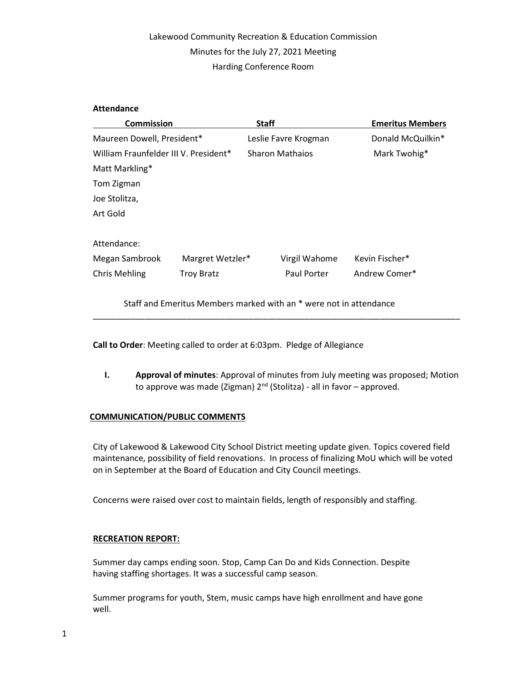## Lakewood Community Recreation & Education Commission Minutes for the July 27, 2021 Meeting Harding Conference Room

### Attendance

| <b>Commission</b>                     |                   | <b>Staff</b>           |               | <b>Emeritus Members</b> |
|---------------------------------------|-------------------|------------------------|---------------|-------------------------|
| Maureen Dowell, President*            |                   | Leslie Favre Krogman   |               | Donald McQuilkin*       |
| William Fraunfelder III V. President* |                   | <b>Sharon Mathaios</b> |               | Mark Twohig*            |
| Matt Markling*                        |                   |                        |               |                         |
| Tom Zigman                            |                   |                        |               |                         |
| Joe Stolitza,                         |                   |                        |               |                         |
| Art Gold                              |                   |                        |               |                         |
| Attendance:                           |                   |                        |               |                         |
| Megan Sambrook                        | Margret Wetzler*  |                        | Virgil Wahome | Kevin Fischer*          |
| <b>Chris Mehling</b>                  | <b>Troy Bratz</b> |                        | Paul Porter   | Andrew Comer*           |

Staff and Emeritus Members marked with an \* were not in attendance

Call to Order: Meeting called to order at 6:03pm. Pledge of Allegiance

I. Approval of minutes: Approval of minutes from July meeting was proposed; Motion to approve was made (Zigman)  $2^{nd}$  (Stolitza) - all in favor – approved.

\_\_\_\_\_\_\_\_\_\_\_\_\_\_\_\_\_\_\_\_\_\_\_\_\_\_\_\_\_\_\_\_\_\_\_\_\_\_\_\_\_\_\_\_\_\_\_\_\_\_\_\_\_\_\_\_\_\_\_\_\_\_\_\_\_\_\_\_\_\_\_\_\_\_\_\_\_\_

### COMMUNICATION/PUBLIC COMMENTS

City of Lakewood & Lakewood City School District meeting update given. Topics covered field maintenance, possibility of field renovations. In process of finalizing MoU which will be voted on in September at the Board of Education and City Council meetings.

Concerns were raised over cost to maintain fields, length of responsibly and staffing.

### RECREATION REPORT:

Summer day camps ending soon. Stop, Camp Can Do and Kids Connection. Despite having staffing shortages. It was a successful camp season.

Summer programs for youth, Stem, music camps have high enrollment and have gone well.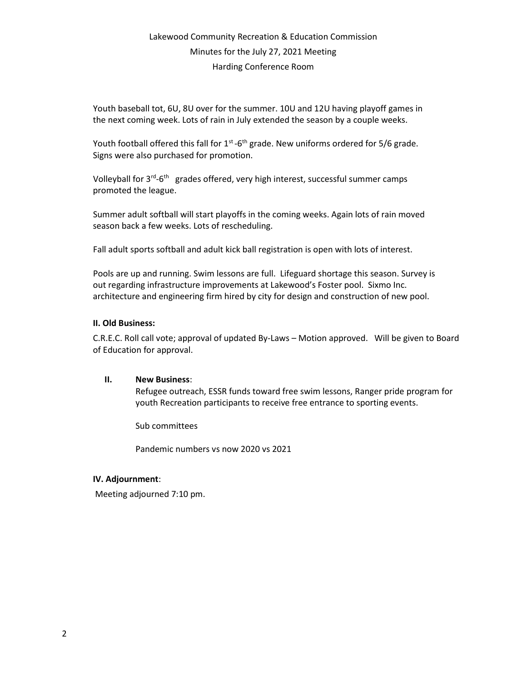# Lakewood Community Recreation & Education Commission Minutes for the July 27, 2021 Meeting Harding Conference Room

Youth baseball tot, 6U, 8U over for the summer. 10U and 12U having playoff games in the next coming week. Lots of rain in July extended the season by a couple weeks.

Youth football offered this fall for  $1<sup>st</sup>$ -6<sup>th</sup> grade. New uniforms ordered for 5/6 grade. Signs were also purchased for promotion.

Volleyball for 3<sup>rd</sup>-6<sup>th</sup> grades offered, very high interest, successful summer camps promoted the league.

Summer adult softball will start playoffs in the coming weeks. Again lots of rain moved season back a few weeks. Lots of rescheduling.

Fall adult sports softball and adult kick ball registration is open with lots of interest.

Pools are up and running. Swim lessons are full. Lifeguard shortage this season. Survey is out regarding infrastructure improvements at Lakewood's Foster pool. Sixmo Inc. architecture and engineering firm hired by city for design and construction of new pool.

### II. Old Business:

C.R.E.C. Roll call vote; approval of updated By-Laws – Motion approved. Will be given to Board of Education for approval.

### II. New Business:

Refugee outreach, ESSR funds toward free swim lessons, Ranger pride program for youth Recreation participants to receive free entrance to sporting events.

Sub committees

Pandemic numbers vs now 2020 vs 2021

### IV. Adjournment:

Meeting adjourned 7:10 pm.